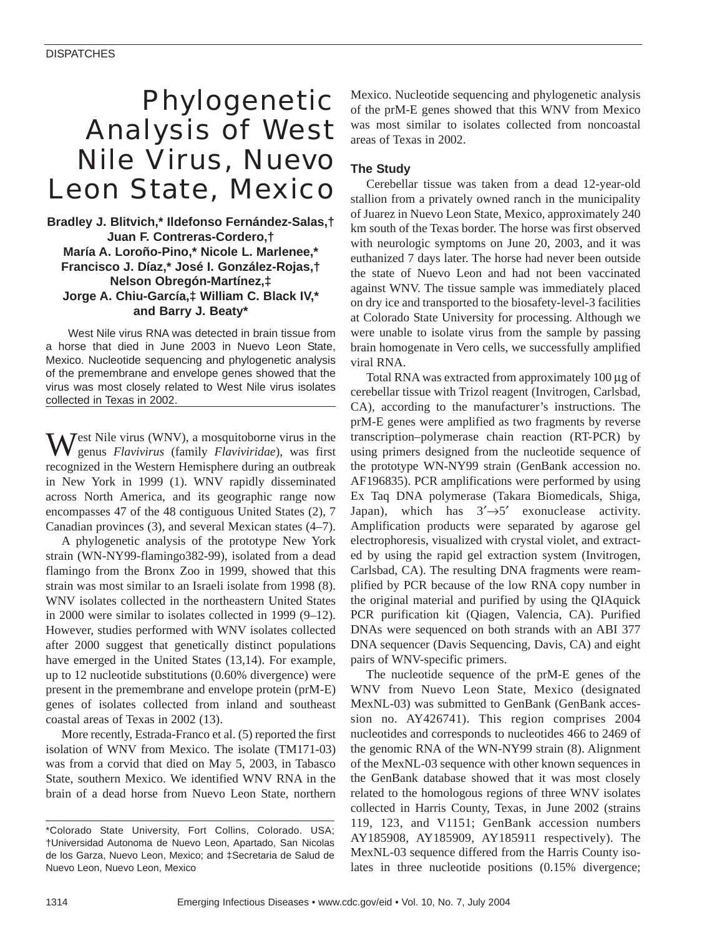# Phylogenetic Analysis of West Nile Virus, Nuevo Leon State, Mexico

**Bradley J. Blitvich,\* Ildefonso Fernández-Salas,† Juan F. Contreras-Cordero,† María A. Loroño-Pino,\* Nicole L. Marlenee,\* Francisco J. Díaz,\* José I. González-Rojas,† Nelson Obregón-Martínez,‡ Jorge A. Chiu-García,‡ William C. Black IV,\* and Barry J. Beaty\*** 

West Nile virus RNA was detected in brain tissue from a horse that died in June 2003 in Nuevo Leon State, Mexico. Nucleotide sequencing and phylogenetic analysis of the premembrane and envelope genes showed that the virus was most closely related to West Nile virus isolates collected in Texas in 2002.

 $\mathbf{W}^{\text{est Nile virus (WNV), a mosquitoborne virus in the}}$ genus *Flavivirus* (family *Flaviviridae*), was first recognized in the Western Hemisphere during an outbreak in New York in 1999 (1). WNV rapidly disseminated across North America, and its geographic range now encompasses 47 of the 48 contiguous United States (2), 7 Canadian provinces (3), and several Mexican states (4–7).

A phylogenetic analysis of the prototype New York strain (WN-NY99-flamingo382-99), isolated from a dead flamingo from the Bronx Zoo in 1999, showed that this strain was most similar to an Israeli isolate from 1998 (8). WNV isolates collected in the northeastern United States in 2000 were similar to isolates collected in 1999 (9–12). However, studies performed with WNV isolates collected after 2000 suggest that genetically distinct populations have emerged in the United States (13,14). For example, up to 12 nucleotide substitutions (0.60% divergence) were present in the premembrane and envelope protein (prM-E) genes of isolates collected from inland and southeast coastal areas of Texas in 2002 (13).

More recently, Estrada-Franco et al. (5) reported the first isolation of WNV from Mexico. The isolate (TM171-03) was from a corvid that died on May 5, 2003, in Tabasco State, southern Mexico. We identified WNV RNA in the brain of a dead horse from Nuevo Leon State, northern

Mexico. Nucleotide sequencing and phylogenetic analysis of the prM-E genes showed that this WNV from Mexico was most similar to isolates collected from noncoastal areas of Texas in 2002.

### **The Study**

Cerebellar tissue was taken from a dead 12-year-old stallion from a privately owned ranch in the municipality of Juarez in Nuevo Leon State, Mexico, approximately 240 km south of the Texas border. The horse was first observed with neurologic symptoms on June 20, 2003, and it was euthanized 7 days later. The horse had never been outside the state of Nuevo Leon and had not been vaccinated against WNV. The tissue sample was immediately placed on dry ice and transported to the biosafety-level-3 facilities at Colorado State University for processing. Although we were unable to isolate virus from the sample by passing brain homogenate in Vero cells, we successfully amplified viral RNA.

Total RNA was extracted from approximately 100 µg of cerebellar tissue with Trizol reagent (Invitrogen, Carlsbad, CA), according to the manufacturer's instructions. The prM-E genes were amplified as two fragments by reverse transcription–polymerase chain reaction (RT-PCR) by using primers designed from the nucleotide sequence of the prototype WN-NY99 strain (GenBank accession no. AF196835). PCR amplifications were performed by using Ex Taq DNA polymerase (Takara Biomedicals, Shiga, Japan), which has  $3' \rightarrow 5'$  exonuclease activity. Amplification products were separated by agarose gel electrophoresis, visualized with crystal violet, and extracted by using the rapid gel extraction system (Invitrogen, Carlsbad, CA). The resulting DNA fragments were reamplified by PCR because of the low RNA copy number in the original material and purified by using the QIAquick PCR purification kit (Qiagen, Valencia, CA). Purified DNAs were sequenced on both strands with an ABI 377 DNA sequencer (Davis Sequencing, Davis, CA) and eight pairs of WNV-specific primers.

The nucleotide sequence of the prM-E genes of the WNV from Nuevo Leon State, Mexico (designated MexNL-03) was submitted to GenBank (GenBank accession no. AY426741). This region comprises 2004 nucleotides and corresponds to nucleotides 466 to 2469 of the genomic RNA of the WN-NY99 strain (8). Alignment of the MexNL-03 sequence with other known sequences in the GenBank database showed that it was most closely related to the homologous regions of three WNV isolates collected in Harris County, Texas, in June 2002 (strains 119, 123, and V1151; GenBank accession numbers AY185908, AY185909, AY185911 respectively). The MexNL-03 sequence differed from the Harris County isolates in three nucleotide positions (0.15% divergence;

<sup>\*</sup>Colorado State University, Fort Collins, Colorado. USA; †Universidad Autonoma de Nuevo Leon, Apartado, San Nicolas de los Garza, Nuevo Leon, Mexico; and ‡Secretaria de Salud de Nuevo Leon, Nuevo Leon, Mexico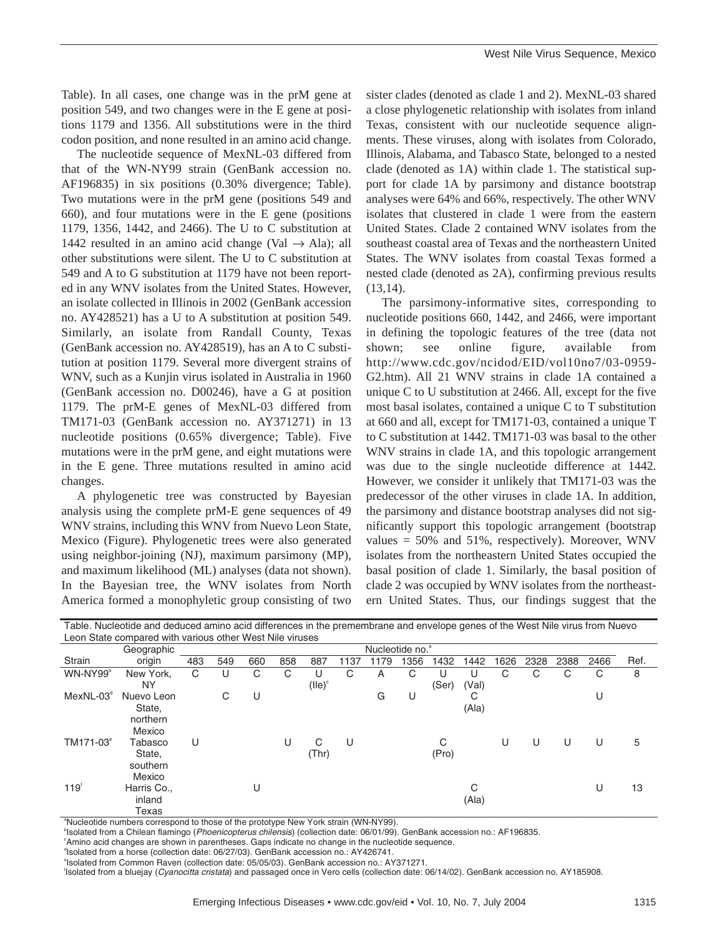Table). In all cases, one change was in the prM gene at position 549, and two changes were in the E gene at positions 1179 and 1356. All substitutions were in the third codon position, and none resulted in an amino acid change.

The nucleotide sequence of MexNL-03 differed from that of the WN-NY99 strain (GenBank accession no. AF196835) in six positions (0.30% divergence; Table). Two mutations were in the prM gene (positions 549 and 660), and four mutations were in the E gene (positions 1179, 1356, 1442, and 2466). The U to C substitution at 1442 resulted in an amino acid change (Val  $\rightarrow$  Ala); all other substitutions were silent. The U to C substitution at 549 and A to G substitution at 1179 have not been reported in any WNV isolates from the United States. However, an isolate collected in Illinois in 2002 (GenBank accession no. AY428521) has a U to A substitution at position 549. Similarly, an isolate from Randall County, Texas (GenBank accession no. AY428519), has an A to C substitution at position 1179. Several more divergent strains of WNV, such as a Kunjin virus isolated in Australia in 1960 (GenBank accession no. D00246), have a G at position 1179. The prM-E genes of MexNL-03 differed from TM171-03 (GenBank accession no. AY371271) in 13 nucleotide positions (0.65% divergence; Table). Five mutations were in the prM gene, and eight mutations were in the E gene. Three mutations resulted in amino acid changes.

A phylogenetic tree was constructed by Bayesian analysis using the complete prM-E gene sequences of 49 WNV strains, including this WNV from Nuevo Leon State, Mexico (Figure). Phylogenetic trees were also generated using neighbor-joining (NJ), maximum parsimony (MP), and maximum likelihood (ML) analyses (data not shown). In the Bayesian tree, the WNV isolates from North America formed a monophyletic group consisting of two

sister clades (denoted as clade 1 and 2). MexNL-03 shared a close phylogenetic relationship with isolates from inland Texas, consistent with our nucleotide sequence alignments. These viruses, along with isolates from Colorado, Illinois, Alabama, and Tabasco State, belonged to a nested clade (denoted as 1A) within clade 1. The statistical support for clade 1A by parsimony and distance bootstrap analyses were 64% and 66%, respectively. The other WNV isolates that clustered in clade 1 were from the eastern United States. Clade 2 contained WNV isolates from the southeast coastal area of Texas and the northeastern United States. The WNV isolates from coastal Texas formed a nested clade (denoted as 2A), confirming previous results (13,14).

The parsimony-informative sites, corresponding to nucleotide positions 660, 1442, and 2466, were important in defining the topologic features of the tree (data not shown; see online figure, available from http://www.cdc.gov/ncidod/EID/vol10no7/03-0959- G2.htm). All 21 WNV strains in clade 1A contained a unique C to U substitution at 2466. All, except for the five most basal isolates, contained a unique C to T substitution at 660 and all, except for TM171-03, contained a unique T to C substitution at 1442. TM171-03 was basal to the other WNV strains in clade 1A, and this topologic arrangement was due to the single nucleotide difference at 1442. However, we consider it unlikely that TM171-03 was the predecessor of the other viruses in clade 1A. In addition, the parsimony and distance bootstrap analyses did not significantly support this topologic arrangement (bootstrap values  $= 50\%$  and  $51\%$ , respectively). Moreover, WNV isolates from the northeastern United States occupied the basal position of clade 1. Similarly, the basal position of clade 2 was occupied by WNV isolates from the northeastern United States. Thus, our findings suggest that the

| Table. Nucleotide and deduced amino acid differences in the premembrane and envelope genes of the West Nile virus from Nuevo |                                           |     |     |     |     |           |      |      |      |       |       |      |      |      |      |      |  |
|------------------------------------------------------------------------------------------------------------------------------|-------------------------------------------|-----|-----|-----|-----|-----------|------|------|------|-------|-------|------|------|------|------|------|--|
| Leon State compared with various other West Nile viruses                                                                     |                                           |     |     |     |     |           |      |      |      |       |       |      |      |      |      |      |  |
|                                                                                                                              | Nucleotide no. <sup>a</sup><br>Geographic |     |     |     |     |           |      |      |      |       |       |      |      |      |      |      |  |
| Strain                                                                                                                       | origin                                    | 483 | 549 | 660 | 858 | 887       | 1137 | 1179 | 1356 | 1432  | 1442  | 1626 | 2328 | 2388 | 2466 | Ref. |  |
| WN-NY99b                                                                                                                     | New York.                                 | С   |     | С   | C   | U         | C    | А    | C    | U     | U     | С    | C    | С    | С    | 8    |  |
|                                                                                                                              | <b>NY</b>                                 |     |     |     |     | $(IIe)^c$ |      |      |      | (Ser) | (Val) |      |      |      |      |      |  |
| $MexNL-03d$                                                                                                                  | Nuevo Leon                                |     | C   | U   |     |           |      | G    | U    |       | С     |      |      |      | U    |      |  |
|                                                                                                                              | State,                                    |     |     |     |     |           |      |      |      |       | (Ala) |      |      |      |      |      |  |
|                                                                                                                              | northern                                  |     |     |     |     |           |      |      |      |       |       |      |      |      |      |      |  |
|                                                                                                                              | Mexico                                    |     |     |     |     |           |      |      |      |       |       |      |      |      |      |      |  |
| TM171-03 <sup>e</sup>                                                                                                        | Tabasco                                   | U   |     |     | U   | C         | U    |      |      | С     |       | U    | U    | U    | U    | 5    |  |
|                                                                                                                              | State,                                    |     |     |     |     | (Thr)     |      |      |      | (Pro) |       |      |      |      |      |      |  |
|                                                                                                                              | southern                                  |     |     |     |     |           |      |      |      |       |       |      |      |      |      |      |  |
|                                                                                                                              | Mexico                                    |     |     |     |     |           |      |      |      |       |       |      |      |      |      |      |  |
| $119^{6}$                                                                                                                    | Harris Co.,                               |     |     | U   |     |           |      |      |      |       | С     |      |      |      | U    | 13   |  |
|                                                                                                                              | inland                                    |     |     |     |     |           |      |      |      |       | (A a) |      |      |      |      |      |  |
|                                                                                                                              | Texas                                     |     |     |     |     |           |      |      |      |       |       |      |      |      |      |      |  |

<sup>a</sup>Nucleotide numbers correspond to those of the prototype New York strain (WN-NY99).<br><sup>b</sup>laciated fram a Chilean flamings (*Dheoricantague philosois*) (callection data: 06/01/00).

<sup>b</sup>lsolated from a Chilean flamingo (Phoenicopterus chilensis) (collection date: 06/01/99). GenBank accession no.: AF196835.

c Amino acid changes are shown in parentheses. Gaps indicate no change in the nucleotide sequence.

d Isolated from a horse (collection date: 06/27/03). GenBank accession no.: AY426741.

e Isolated from Common Raven (collection date: 05/05/03). GenBank accession no.: AY371271.

f Isolated from a bluejay (Cyanocitta cristata) and passaged once in Vero cells (collection date: 06/14/02). GenBank accession no. AY185908.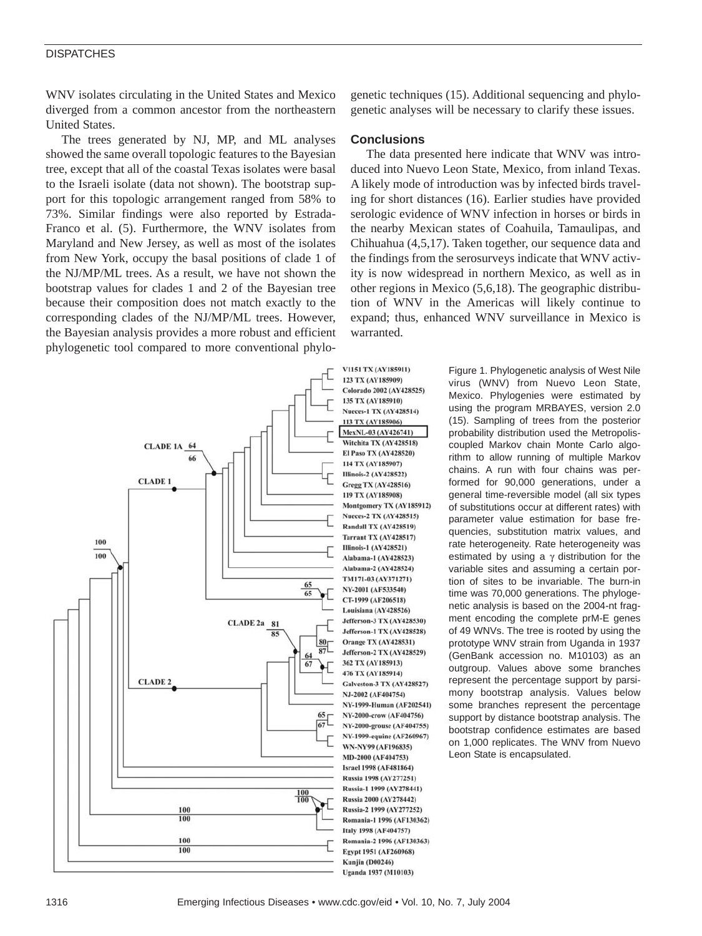#### **DISPATCHES**

WNV isolates circulating in the United States and Mexico diverged from a common ancestor from the northeastern United States.

The trees generated by NJ, MP, and ML analyses showed the same overall topologic features to the Bayesian tree, except that all of the coastal Texas isolates were basal to the Israeli isolate (data not shown). The bootstrap support for this topologic arrangement ranged from 58% to 73%. Similar findings were also reported by Estrada-Franco et al. (5). Furthermore, the WNV isolates from Maryland and New Jersey, as well as most of the isolates from New York, occupy the basal positions of clade 1 of the NJ/MP/ML trees. As a result, we have not shown the bootstrap values for clades 1 and 2 of the Bayesian tree because their composition does not match exactly to the corresponding clades of the NJ/MP/ML trees. However, the Bayesian analysis provides a more robust and efficient phylogenetic tool compared to more conventional phylo-

123 TX (AY185909) Colorado 2002 (AY428525) 135 TX (AY185910) **Nueces-1 TX (AY428514)** 113 TX (AY185906) MexNL-03 (AY426741) Witchita TX (AY428518) **CLADE 1A 64** El Paso TX (AY428520) 66 114 TX (AY185907) **Illinois-2 (AY428522) CLADE 1 Gregg TX (AY428516)** 119 TX (AY185908) Montgomery TX (AY185912) **Nueces-2 TX (AY428515)** Randall TX (AY428519) **Tarrant TX (AY428517)** 100 **Illinois-1 (AY428521)** 100 Alabama-1 (AY428523) Alabama-2 (AY428524) TM171-03 (AY371271)  $\frac{65}{65}$ NY-2001 (AF533540) CT-1999 (AF206518) Louisiana (AY428526) **Jefferson-3 TX (AY428530) CLADE 2a** 81 **Jefferson-1 TX (AY428528)**  $\overline{\mathbf{x}}$  $80<sub>0</sub>$ Orange TX (AY428531)  $87$ Jefferson-2 TX (AY428529) 6 362 TX (AY185913) 476 TX (AY185914) **CLADE 2 Galveston-3 TX (AY428527)** NJ-2002 (AF404754) NY-1999-Human (AF202541)  $65r$ NY-2000-crow (AF404756) 67 NY-2000-grouse (AF404755) NY-1999-equine (AF260967) WN-NY99 (AF196835) MD-2000 (AF404753) **Israel 1998 (AF481864)** Russia 1998 (AY277251) Russia-1 1999 (AY278441)  $\frac{100}{100}$ Russia 2000 (AY278442) 100 Russia-2 1999 (AY277252) 100 Romania-1 1996 (AF130362) Italy 1998 (AF404757) 100 Romania-2 1996 (AF130363) 100 Egypt 1951 (AF260968) **Kunjin (D00246)** 

genetic techniques (15). Additional sequencing and phylogenetic analyses will be necessary to clarify these issues.

#### **Conclusions**

V1151 TX (AY185911)

The data presented here indicate that WNV was introduced into Nuevo Leon State, Mexico, from inland Texas. A likely mode of introduction was by infected birds traveling for short distances (16). Earlier studies have provided serologic evidence of WNV infection in horses or birds in the nearby Mexican states of Coahuila, Tamaulipas, and Chihuahua (4,5,17). Taken together, our sequence data and the findings from the serosurveys indicate that WNV activity is now widespread in northern Mexico, as well as in other regions in Mexico (5,6,18). The geographic distribution of WNV in the Americas will likely continue to expand; thus, enhanced WNV surveillance in Mexico is warranted.

> Figure 1. Phylogenetic analysis of West Nile virus (WNV) from Nuevo Leon State, Mexico. Phylogenies were estimated by using the program MRBAYES, version 2.0 (15). Sampling of trees from the posterior probability distribution used the Metropoliscoupled Markov chain Monte Carlo algorithm to allow running of multiple Markov chains. A run with four chains was performed for 90,000 generations, under a general time-reversible model (all six types of substitutions occur at different rates) with parameter value estimation for base frequencies, substitution matrix values, and rate heterogeneity. Rate heterogeneity was estimated by using a  $\gamma$  distribution for the variable sites and assuming a certain portion of sites to be invariable. The burn-in time was 70,000 generations. The phylogenetic analysis is based on the 2004-nt fragment encoding the complete prM-E genes of 49 WNVs. The tree is rooted by using the prototype WNV strain from Uganda in 1937 (GenBank accession no. M10103) as an outgroup. Values above some branches represent the percentage support by parsimony bootstrap analysis. Values below some branches represent the percentage support by distance bootstrap analysis. The bootstrap confidence estimates are based on 1,000 replicates. The WNV from Nuevo Leon State is encapsulated.

Uganda 1937 (M10103)